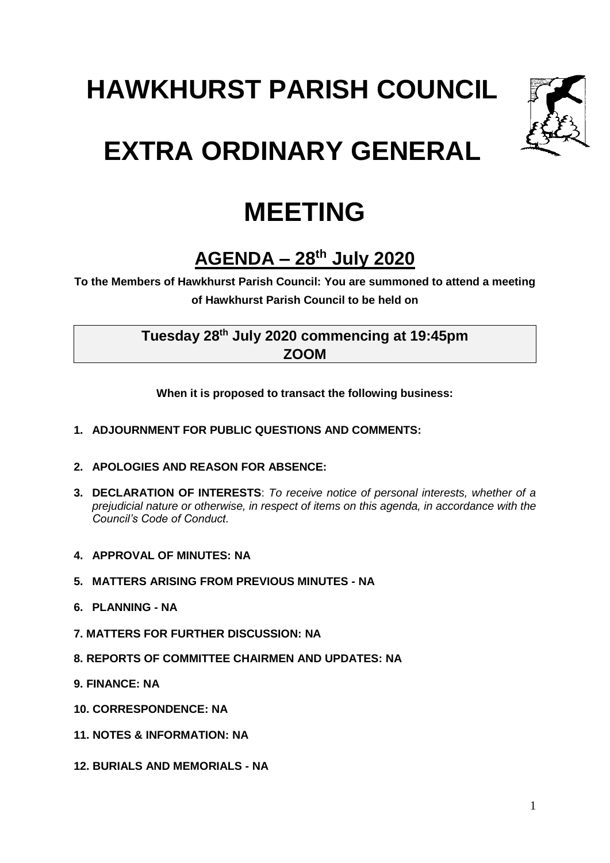# **HAWKHURST PARISH COUNCIL**



## **EXTRA ORDINARY GENERAL**

### **MEETING**

### **AGENDA – 28 th July 2020**

**To the Members of Hawkhurst Parish Council: You are summoned to attend a meeting of Hawkhurst Parish Council to be held on**

#### **Tuesday 28 th July 2020 commencing at 19:45pm ZOOM**

**When it is proposed to transact the following business:**

- **1. ADJOURNMENT FOR PUBLIC QUESTIONS AND COMMENTS:**
- **2. APOLOGIES AND REASON FOR ABSENCE:**
- **3. DECLARATION OF INTERESTS**: *To receive notice of personal interests, whether of a prejudicial nature or otherwise, in respect of items on this agenda, in accordance with the Council's Code of Conduct.*
- **4. APPROVAL OF MINUTES: NA**
- **5. MATTERS ARISING FROM PREVIOUS MINUTES - NA**
- **6. PLANNING - NA**
- **7. MATTERS FOR FURTHER DISCUSSION: NA**
- **8. REPORTS OF COMMITTEE CHAIRMEN AND UPDATES: NA**
- **9. FINANCE: NA**
- **10. CORRESPONDENCE: NA**
- **11. NOTES & INFORMATION: NA**
- **12. BURIALS AND MEMORIALS - NA**